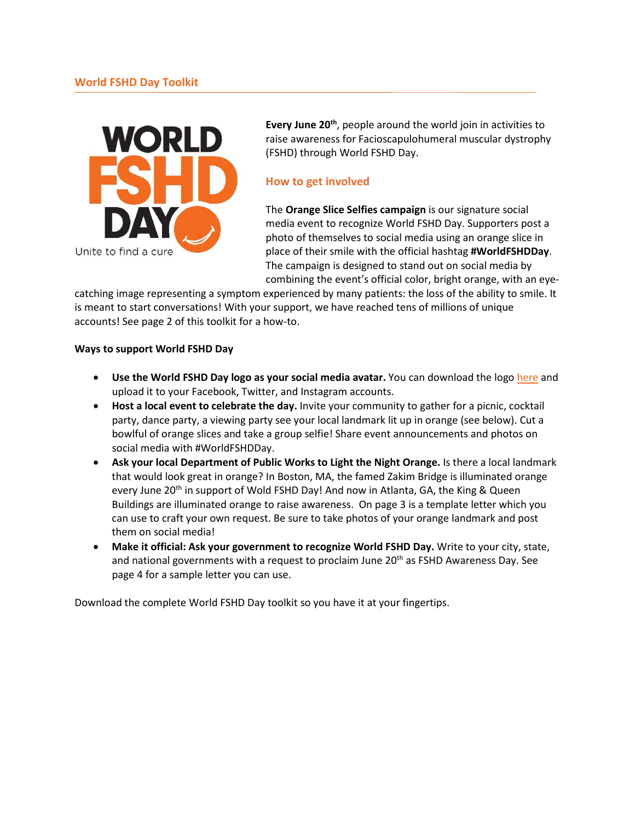

Every June 20<sup>th</sup>, people around the world join in activities to raise awareness for Facioscapulohumeral muscular dystrophy (FSHD) through World FSHD Day.

# **How to get involved**

The **Orange Slice Selfies campaign** is our signature social media event to recognize World FSHD Day. Supporters post a photo of themselves to social media using an orange slice in place of their smile with the official hashtag **#WorldFSHDDay**. The campaign is designed to stand out on social media by combining the event's official color, bright orange, with an eye-

catching image representing a symptom experienced by many patients: the loss of the ability to smile. It is meant to start conversations! With your support, we have reached tens of millions of unique accounts! See page 2 of this toolkit for a how-to.

### **Ways to support World FSHD Day**

- **Use the World FSHD Day logo as your social media avatar.** You can download the log[o here](https://www.fshdsociety.org/wp-content/uploads/2016/06/World_FSHD_Day-1.jpg) and upload it to your Facebook, Twitter, and Instagram accounts.
- **Host a local event to celebrate the day.** Invite your community to gather for a picnic, cocktail party, dance party, a viewing party see your local landmark lit up in orange (see below). Cut a bowlful of orange slices and take a group selfie! Share event announcements and photos on social media with #WorldFSHDDay.
- **Ask your local Department of Public Works to Light the Night Orange.** Is there a local landmark that would look great in orange? In Boston, MA, the famed Zakim Bridge is illuminated orange every June 20<sup>th</sup> in support of Wold FSHD Day! And now in Atlanta, GA, the King & Queen Buildings are illuminated orange to raise awareness. On page 3 is a template letter which you can use to craft your own request. Be sure to take photos of your orange landmark and post them on social media!
- **Make it official: Ask your government to recognize World FSHD Day.** Write to your city, state, and national governments with a request to proclaim June  $20<sup>th</sup>$  as FSHD Awareness Day. See page 4 for a sample letter you can use.

Download the complete World FSHD Day toolkit so you have it at your fingertips.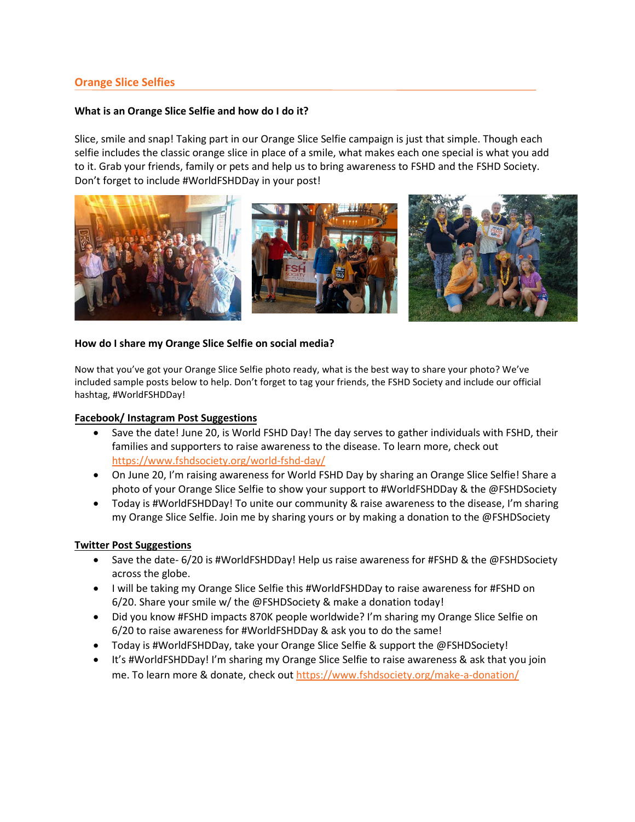# **Orange Slice Selfies**

### **What is an Orange Slice Selfie and how do I do it?**

Slice, smile and snap! Taking part in our Orange Slice Selfie campaign is just that simple. Though each selfie includes the classic orange slice in place of a smile, what makes each one special is what you add to it. Grab your friends, family or pets and help us to bring awareness to FSHD and the FSHD Society. Don't forget to include #WorldFSHDDay in your post!



### **How do I share my Orange Slice Selfie on social media?**

Now that you've got your Orange Slice Selfie photo ready, what is the best way to share your photo? We've included sample posts below to help. Don't forget to tag your friends, the FSHD Society and include our official hashtag, #WorldFSHDDay!

#### **Facebook/ Instagram Post Suggestions**

- Save the date! June 20, is World FSHD Day! The day serves to gather individuals with FSHD, their families and supporters to raise awareness to the disease. To learn more, check out <https://www.fshdsociety.org/world-fshd-day/>
- On June 20, I'm raising awareness for World FSHD Day by sharing an Orange Slice Selfie! Share a photo of your Orange Slice Selfie to show your support to #WorldFSHDDay & the @FSHDSociety
- Today is #WorldFSHDDay! To unite our community & raise awareness to the disease, I'm sharing my Orange Slice Selfie. Join me by sharing yours or by making a donation to the @FSHDSociety

### **Twitter Post Suggestions**

- Save the date- 6/20 is #WorldFSHDDay! Help us raise awareness for #FSHD & the @FSHDSociety across the globe.
- I will be taking my Orange Slice Selfie this #WorldFSHDDay to raise awareness for #FSHD on 6/20. Share your smile w/ the @FSHDSociety & make a donation today!
- Did you know #FSHD impacts 870K people worldwide? I'm sharing my Orange Slice Selfie on 6/20 to raise awareness for #WorldFSHDDay & ask you to do the same!
- Today is #WorldFSHDDay, take your Orange Slice Selfie & support the @FSHDSociety!
- It's #WorldFSHDDay! I'm sharing my Orange Slice Selfie to raise awareness & ask that you join me. To learn more & donate, check ou[t https://www.fshdsociety.org/make-a-donation/](https://www.fshdsociety.org/make-a-donation/)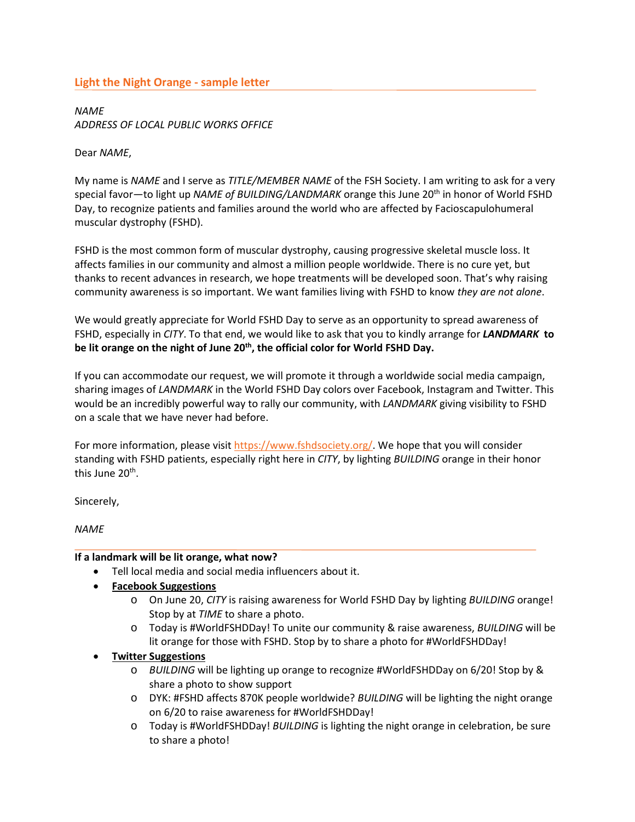# **Light the Night Orange - sample letter**

*NAME ADDRESS OF LOCAL PUBLIC WORKS OFFICE*

Dear *NAME*,

My name is *NAME* and I serve as *TITLE/MEMBER NAME* of the FSH Society. I am writing to ask for a very special favor—to light up *NAME of BUILDING/LANDMARK* orange this June 20<sup>th</sup> in honor of World FSHD Day, to recognize patients and families around the world who are affected by Facioscapulohumeral muscular dystrophy (FSHD).

FSHD is the most common form of muscular dystrophy, causing progressive skeletal muscle loss. It affects families in our community and almost a million people worldwide. There is no cure yet, but thanks to recent advances in research, we hope treatments will be developed soon. That's why raising community awareness is so important. We want families living with FSHD to know *they are not alone*.

We would greatly appreciate for World FSHD Day to serve as an opportunity to spread awareness of FSHD, especially in *CITY*. To that end, we would like to ask that you to kindly arrange for *LANDMARK* **to be lit orange on the night of June 20th, the official color for World FSHD Day.**

If you can accommodate our request, we will promote it through a worldwide social media campaign, sharing images of *LANDMARK* in the World FSHD Day colors over Facebook, Instagram and Twitter. This would be an incredibly powerful way to rally our community, with *LANDMARK* giving visibility to FSHD on a scale that we have never had before.

For more information, please visi[t https://www.fshdsociety.org/.](https://www.fshdsociety.org/) We hope that you will consider standing with FSHD patients, especially right here in *CITY*, by lighting *BUILDING* orange in their honor this June 20<sup>th</sup>.

Sincerely,

*NAME*

### **If a landmark will be lit orange, what now?**

- Tell local media and social media influencers about it.
- **Facebook Suggestions**
	- o On June 20, *CITY* is raising awareness for World FSHD Day by lighting *BUILDING* orange! Stop by at *TIME* to share a photo.
	- o Today is #WorldFSHDDay! To unite our community & raise awareness, *BUILDING* will be lit orange for those with FSHD. Stop by to share a photo for #WorldFSHDDay!
- **Twitter Suggestions**
	- o *BUILDING* will be lighting up orange to recognize #WorldFSHDDay on 6/20! Stop by & share a photo to show support
	- o DYK: #FSHD affects 870K people worldwide? *BUILDING* will be lighting the night orange on 6/20 to raise awareness for #WorldFSHDDay!
	- o Today is #WorldFSHDDay! *BUILDING* is lighting the night orange in celebration, be sure to share a photo!